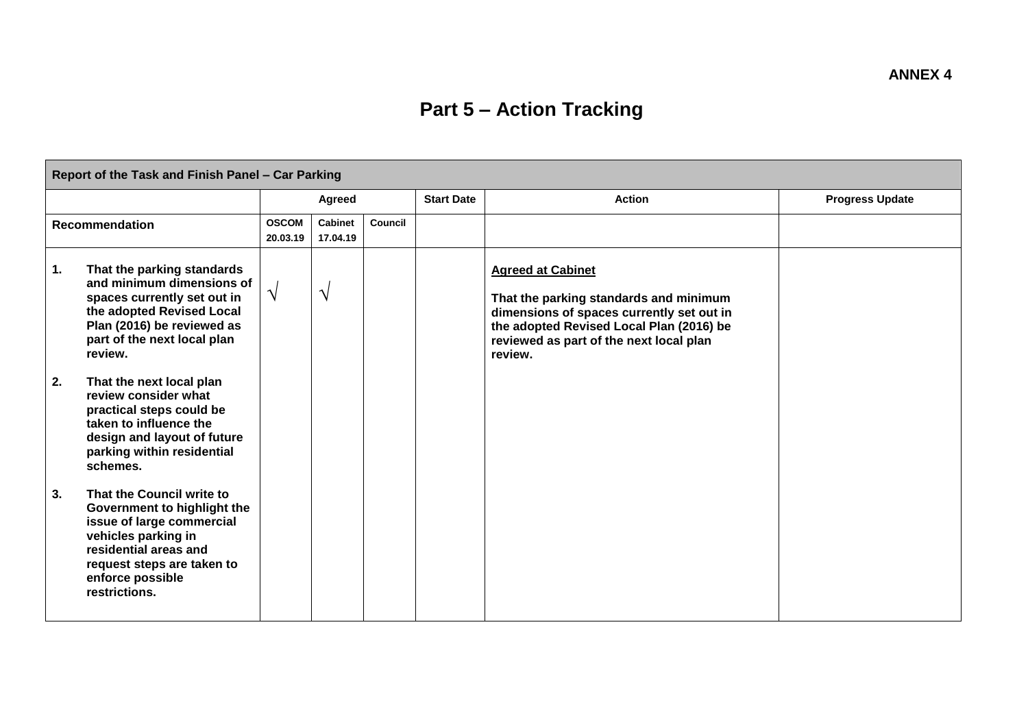## **Part 5 – Action Tracking**

| Report of the Task and Finish Panel - Car Parking |                                                                                                                                                                                                          |                          |                     |         |                   |                                                                                                                                                                                                                   |                        |  |
|---------------------------------------------------|----------------------------------------------------------------------------------------------------------------------------------------------------------------------------------------------------------|--------------------------|---------------------|---------|-------------------|-------------------------------------------------------------------------------------------------------------------------------------------------------------------------------------------------------------------|------------------------|--|
|                                                   |                                                                                                                                                                                                          |                          | Agreed              |         | <b>Start Date</b> | <b>Action</b>                                                                                                                                                                                                     | <b>Progress Update</b> |  |
| <b>Recommendation</b>                             |                                                                                                                                                                                                          | <b>OSCOM</b><br>20.03.19 | Cabinet<br>17.04.19 | Council |                   |                                                                                                                                                                                                                   |                        |  |
| 1.                                                | That the parking standards<br>and minimum dimensions of<br>spaces currently set out in<br>the adopted Revised Local<br>Plan (2016) be reviewed as<br>part of the next local plan<br>review.              | $\sqrt{ }$               | $\sqrt{ }$          |         |                   | <b>Agreed at Cabinet</b><br>That the parking standards and minimum<br>dimensions of spaces currently set out in<br>the adopted Revised Local Plan (2016) be<br>reviewed as part of the next local plan<br>review. |                        |  |
| 2.                                                | That the next local plan<br>review consider what<br>practical steps could be<br>taken to influence the<br>design and layout of future<br>parking within residential<br>schemes.                          |                          |                     |         |                   |                                                                                                                                                                                                                   |                        |  |
| 3.                                                | That the Council write to<br>Government to highlight the<br>issue of large commercial<br>vehicles parking in<br>residential areas and<br>request steps are taken to<br>enforce possible<br>restrictions. |                          |                     |         |                   |                                                                                                                                                                                                                   |                        |  |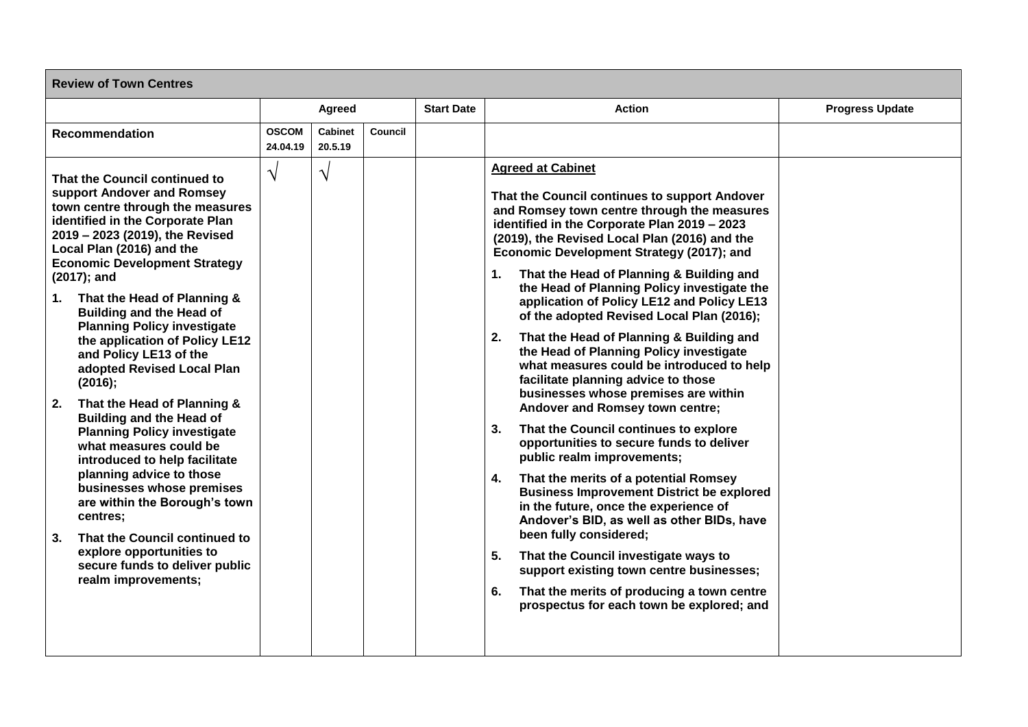| <b>Review of Town Centres</b>                                                                                                                                                                                                                                                                                                                                                                                                                                                                                                                                                                                                                                                                                                                                                                                                                                                                        |                          |                    |                   |               |                                                                                                                                                                                                                                                                                                                                                                                                                                                                                                                                                                                                                                                                                                                                                                                                                                                                                                                                                                                                                                                                                                                                                                                                                                                                        |  |  |  |  |
|------------------------------------------------------------------------------------------------------------------------------------------------------------------------------------------------------------------------------------------------------------------------------------------------------------------------------------------------------------------------------------------------------------------------------------------------------------------------------------------------------------------------------------------------------------------------------------------------------------------------------------------------------------------------------------------------------------------------------------------------------------------------------------------------------------------------------------------------------------------------------------------------------|--------------------------|--------------------|-------------------|---------------|------------------------------------------------------------------------------------------------------------------------------------------------------------------------------------------------------------------------------------------------------------------------------------------------------------------------------------------------------------------------------------------------------------------------------------------------------------------------------------------------------------------------------------------------------------------------------------------------------------------------------------------------------------------------------------------------------------------------------------------------------------------------------------------------------------------------------------------------------------------------------------------------------------------------------------------------------------------------------------------------------------------------------------------------------------------------------------------------------------------------------------------------------------------------------------------------------------------------------------------------------------------------|--|--|--|--|
|                                                                                                                                                                                                                                                                                                                                                                                                                                                                                                                                                                                                                                                                                                                                                                                                                                                                                                      | Agreed                   |                    | <b>Start Date</b> | <b>Action</b> | <b>Progress Update</b>                                                                                                                                                                                                                                                                                                                                                                                                                                                                                                                                                                                                                                                                                                                                                                                                                                                                                                                                                                                                                                                                                                                                                                                                                                                 |  |  |  |  |
| <b>Recommendation</b>                                                                                                                                                                                                                                                                                                                                                                                                                                                                                                                                                                                                                                                                                                                                                                                                                                                                                | <b>OSCOM</b><br>24.04.19 | Cabinet<br>20.5.19 | Council           |               |                                                                                                                                                                                                                                                                                                                                                                                                                                                                                                                                                                                                                                                                                                                                                                                                                                                                                                                                                                                                                                                                                                                                                                                                                                                                        |  |  |  |  |
| That the Council continued to<br>support Andover and Romsey<br>town centre through the measures<br>identified in the Corporate Plan<br>2019 - 2023 (2019), the Revised<br>Local Plan (2016) and the<br><b>Economic Development Strategy</b><br>(2017); and<br>That the Head of Planning &<br>1.<br><b>Building and the Head of</b><br><b>Planning Policy investigate</b><br>the application of Policy LE12<br>and Policy LE13 of the<br>adopted Revised Local Plan<br>(2016);<br>That the Head of Planning &<br>2.<br><b>Building and the Head of</b><br><b>Planning Policy investigate</b><br>what measures could be<br>introduced to help facilitate<br>planning advice to those<br>businesses whose premises<br>are within the Borough's town<br>centres;<br>That the Council continued to<br>3 <sub>1</sub><br>explore opportunities to<br>secure funds to deliver public<br>realm improvements; | $\sqrt{ }$               | $\sqrt{ }$         |                   |               | <b>Agreed at Cabinet</b><br>That the Council continues to support Andover<br>and Romsey town centre through the measures<br>identified in the Corporate Plan 2019 - 2023<br>(2019), the Revised Local Plan (2016) and the<br>Economic Development Strategy (2017); and<br>That the Head of Planning & Building and<br>1.<br>the Head of Planning Policy investigate the<br>application of Policy LE12 and Policy LE13<br>of the adopted Revised Local Plan (2016);<br>That the Head of Planning & Building and<br>2.<br>the Head of Planning Policy investigate<br>what measures could be introduced to help<br>facilitate planning advice to those<br>businesses whose premises are within<br>Andover and Romsey town centre;<br>That the Council continues to explore<br>3.<br>opportunities to secure funds to deliver<br>public realm improvements;<br>That the merits of a potential Romsey<br>4.<br><b>Business Improvement District be explored</b><br>in the future, once the experience of<br>Andover's BID, as well as other BIDs, have<br>been fully considered;<br>5.<br>That the Council investigate ways to<br>support existing town centre businesses;<br>6.<br>That the merits of producing a town centre<br>prospectus for each town be explored; and |  |  |  |  |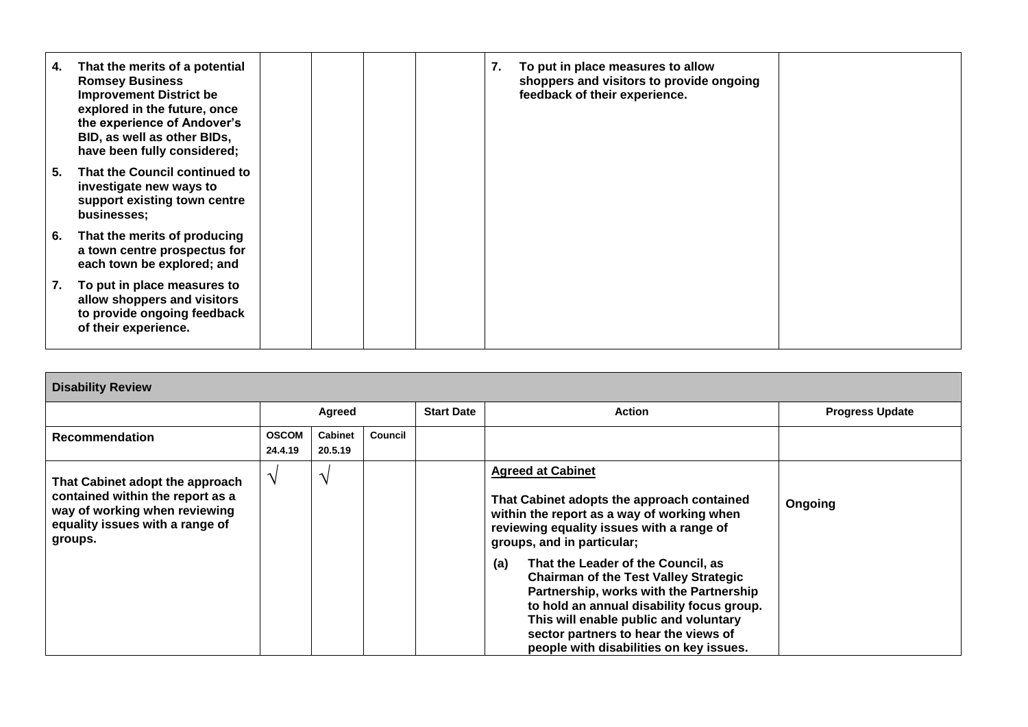| 4. | That the merits of a potential<br><b>Romsey Business</b><br><b>Improvement District be</b><br>explored in the future, once<br>the experience of Andover's<br>BID, as well as other BIDs,<br>have been fully considered; |  |  | 7. | To put in place measures to allow<br>shoppers and visitors to provide ongoing<br>feedback of their experience. |  |
|----|-------------------------------------------------------------------------------------------------------------------------------------------------------------------------------------------------------------------------|--|--|----|----------------------------------------------------------------------------------------------------------------|--|
| 5. | That the Council continued to<br>investigate new ways to<br>support existing town centre<br>businesses;                                                                                                                 |  |  |    |                                                                                                                |  |
| 6. | That the merits of producing<br>a town centre prospectus for<br>each town be explored; and                                                                                                                              |  |  |    |                                                                                                                |  |
| 7. | To put in place measures to<br>allow shoppers and visitors<br>to provide ongoing feedback<br>of their experience.                                                                                                       |  |  |    |                                                                                                                |  |

| <b>Disability Review</b>                                                                                                                           |               |  |  |                                                                                                                                                                                                                                                                                                                                                                                                                                                                                                                  |               |                        |  |  |  |
|----------------------------------------------------------------------------------------------------------------------------------------------------|---------------|--|--|------------------------------------------------------------------------------------------------------------------------------------------------------------------------------------------------------------------------------------------------------------------------------------------------------------------------------------------------------------------------------------------------------------------------------------------------------------------------------------------------------------------|---------------|------------------------|--|--|--|
|                                                                                                                                                    | Agreed        |  |  | <b>Start Date</b>                                                                                                                                                                                                                                                                                                                                                                                                                                                                                                | <b>Action</b> | <b>Progress Update</b> |  |  |  |
| <b>OSCOM</b><br><b>Cabinet</b><br>Council<br><b>Recommendation</b><br>24.4.19<br>20.5.19                                                           |               |  |  |                                                                                                                                                                                                                                                                                                                                                                                                                                                                                                                  |               |                        |  |  |  |
| That Cabinet adopt the approach<br>contained within the report as a<br>way of working when reviewing<br>equality issues with a range of<br>groups. | $\mathcal{N}$ |  |  | <b>Agreed at Cabinet</b><br>That Cabinet adopts the approach contained<br>within the report as a way of working when<br>reviewing equality issues with a range of<br>groups, and in particular;<br>That the Leader of the Council, as<br>(a)<br><b>Chairman of the Test Valley Strategic</b><br>Partnership, works with the Partnership<br>to hold an annual disability focus group.<br>This will enable public and voluntary<br>sector partners to hear the views of<br>people with disabilities on key issues. | Ongoing       |                        |  |  |  |